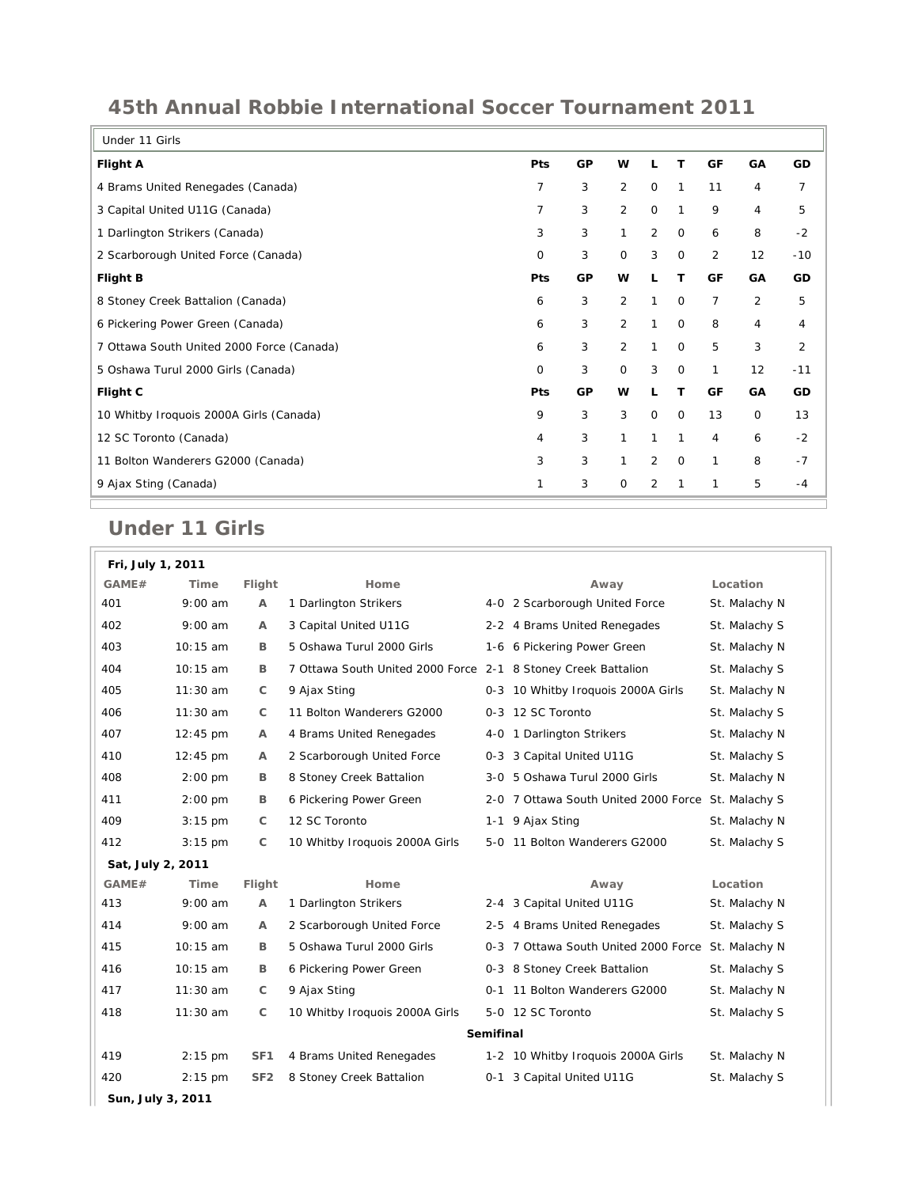## **45th Annual Robbie International Soccer Tournament 2011**

| Under 11 Girls                            |     |    |              |                |              |                |             |       |
|-------------------------------------------|-----|----|--------------|----------------|--------------|----------------|-------------|-------|
| <b>Flight A</b>                           | Pts | GP | w            | L              | т            | GF             | GA          | GD    |
| 4 Brams United Renegades (Canada)         | 7   | 3  | 2            | $\mathbf 0$    | 1            | 11             | 4           | 7     |
| 3 Capital United U11G (Canada)            | 7   | 3  | 2            | $\mathbf 0$    | 1            | 9              | 4           | 5     |
| 1 Darlington Strikers (Canada)            | 3   | 3  | $\mathbf{1}$ | 2              | $\mathbf 0$  | 6              | 8           | $-2$  |
| 2 Scarborough United Force (Canada)       | 0   | 3  | $\mathbf 0$  | 3              | $\mathbf 0$  | 2              | 12          | $-10$ |
| <b>Flight B</b>                           | Pts | GP | w            | L              | т            | GF             | GA          | GD    |
| 8 Stoney Creek Battalion (Canada)         | 6   | 3  | 2            | $\mathbf{1}$   | $\mathbf{O}$ | $\overline{7}$ | 2           | 5     |
| 6 Pickering Power Green (Canada)          | 6   | 3  | 2            | 1              | 0            | 8              | 4           | 4     |
| 7 Ottawa South United 2000 Force (Canada) | 6   | 3  | 2            | 1              | $\mathbf{O}$ | 5              | 3           | 2     |
| 5 Oshawa Turul 2000 Girls (Canada)        | 0   | 3  | $\mathbf 0$  | 3              | $\mathbf{O}$ | 1              | 12          | $-11$ |
| Flight C                                  | Pts | GP | w            | L              | т            | GF             | GA          | GD    |
| 10 Whitby Iroquois 2000A Girls (Canada)   | 9   | 3  | 3            | $\mathbf{O}$   | $\mathbf 0$  | 13             | $\mathbf 0$ | 13    |
| 12 SC Toronto (Canada)                    | 4   | 3  | 1            | $\mathbf{1}$   | $\mathbf{1}$ | $\overline{4}$ | 6           | $-2$  |
| 11 Bolton Wanderers G2000 (Canada)        | 3   | 3  | 1            | 2              | $\mathbf{O}$ | 1              | 8           | $-7$  |
| 9 Ajax Sting (Canada)                     |     | 3  | 0            | $\overline{2}$ | 1            | 1              | 5           | $-4$  |
|                                           |     |    |              |                |              |                |             |       |

## **Under 11 Girls**

r.

| Fri, July 1, 2011 |                    |                 |                                                               |  |                                                    |               |  |
|-------------------|--------------------|-----------------|---------------------------------------------------------------|--|----------------------------------------------------|---------------|--|
| GAME#             | Time               | Flight          | Home                                                          |  | Away                                               | Location      |  |
| 401               | $9:00$ am          | A               | 1 Darlington Strikers                                         |  | 4-0 2 Scarborough United Force                     | St. Malachy N |  |
| 402               | $9:00$ am          | A               | 3 Capital United U11G                                         |  | 2-2 4 Brams United Renegades                       | St. Malachy S |  |
| 403               | 10:15 am           | B               | 5 Oshawa Turul 2000 Girls                                     |  | 1-6 6 Pickering Power Green                        | St. Malachy N |  |
| 404               | 10:15 am           | B               | 7 Ottawa South United 2000 Force 2-1 8 Stoney Creek Battalion |  |                                                    | St. Malachy S |  |
| 405               | 11:30 am           | C               | 9 Ajax Sting                                                  |  | 0-3 10 Whitby Iroquois 2000A Girls                 | St. Malachy N |  |
| 406               | $11:30$ am         | C               | 11 Bolton Wanderers G2000                                     |  | 0-3 12 SC Toronto                                  | St. Malachy S |  |
| 407               | $12:45 \text{ pm}$ | Α               | 4 Brams United Renegades                                      |  | 4-0 1 Darlington Strikers                          | St. Malachy N |  |
| 410               | $12:45 \text{ pm}$ | $\mathsf{A}$    | 2 Scarborough United Force                                    |  | 0-3 3 Capital United U11G                          | St. Malachy S |  |
| 408               | $2:00$ pm          | B               | 8 Stoney Creek Battalion                                      |  | 3-0 5 Oshawa Turul 2000 Girls                      | St. Malachy N |  |
| 411               | $2:00$ pm          | B               | 6 Pickering Power Green                                       |  | 2-0 7 Ottawa South United 2000 Force St. Malachy S |               |  |
| 409               | $3:15$ pm          | C               | 12 SC Toronto                                                 |  | 1-1 9 Ajax Sting                                   | St. Malachy N |  |
| 412               | $3:15$ pm          | $\mathsf{C}$    | 10 Whitby Iroquois 2000A Girls                                |  | 5-0 11 Bolton Wanderers G2000                      | St. Malachy S |  |
| Sat, July 2, 2011 |                    |                 |                                                               |  |                                                    |               |  |
| GAME#             | Time               | Flight          | Home                                                          |  | Away                                               | Location      |  |
| 413               | $9:00$ am          | А               | 1 Darlington Strikers                                         |  | 2-4 3 Capital United U11G                          | St. Malachy N |  |
| 414               | $9:00$ am          | Α               | 2 Scarborough United Force                                    |  | 2-5 4 Brams United Renegades                       | St. Malachy S |  |
| 415               | 10:15 am           | B               | 5 Oshawa Turul 2000 Girls                                     |  | 0-3 7 Ottawa South United 2000 Force St. Malachy N |               |  |
| 416               | 10:15 am           | В               | 6 Pickering Power Green                                       |  | 0-3 8 Stoney Creek Battalion                       | St. Malachy S |  |
| 417               | $11:30$ am         | C               | 9 Ajax Sting                                                  |  | 0-1 11 Bolton Wanderers G2000                      | St. Malachy N |  |
| 418               | 11:30 am           | C               | 10 Whitby Iroquois 2000A Girls                                |  | 5-0 12 SC Toronto                                  | St. Malachy S |  |
| Semifinal         |                    |                 |                                                               |  |                                                    |               |  |
| 419               | 2:15 pm            | SF <sub>1</sub> | 4 Brams United Renegades                                      |  | 1-2 10 Whitby Iroquois 2000A Girls                 | St. Malachy N |  |
| 420               | $2:15$ pm          | SF <sub>2</sub> | 8 Stoney Creek Battalion                                      |  | 0-1 3 Capital United U11G                          | St. Malachy S |  |
| Sun, July 3, 2011 |                    |                 |                                                               |  |                                                    |               |  |